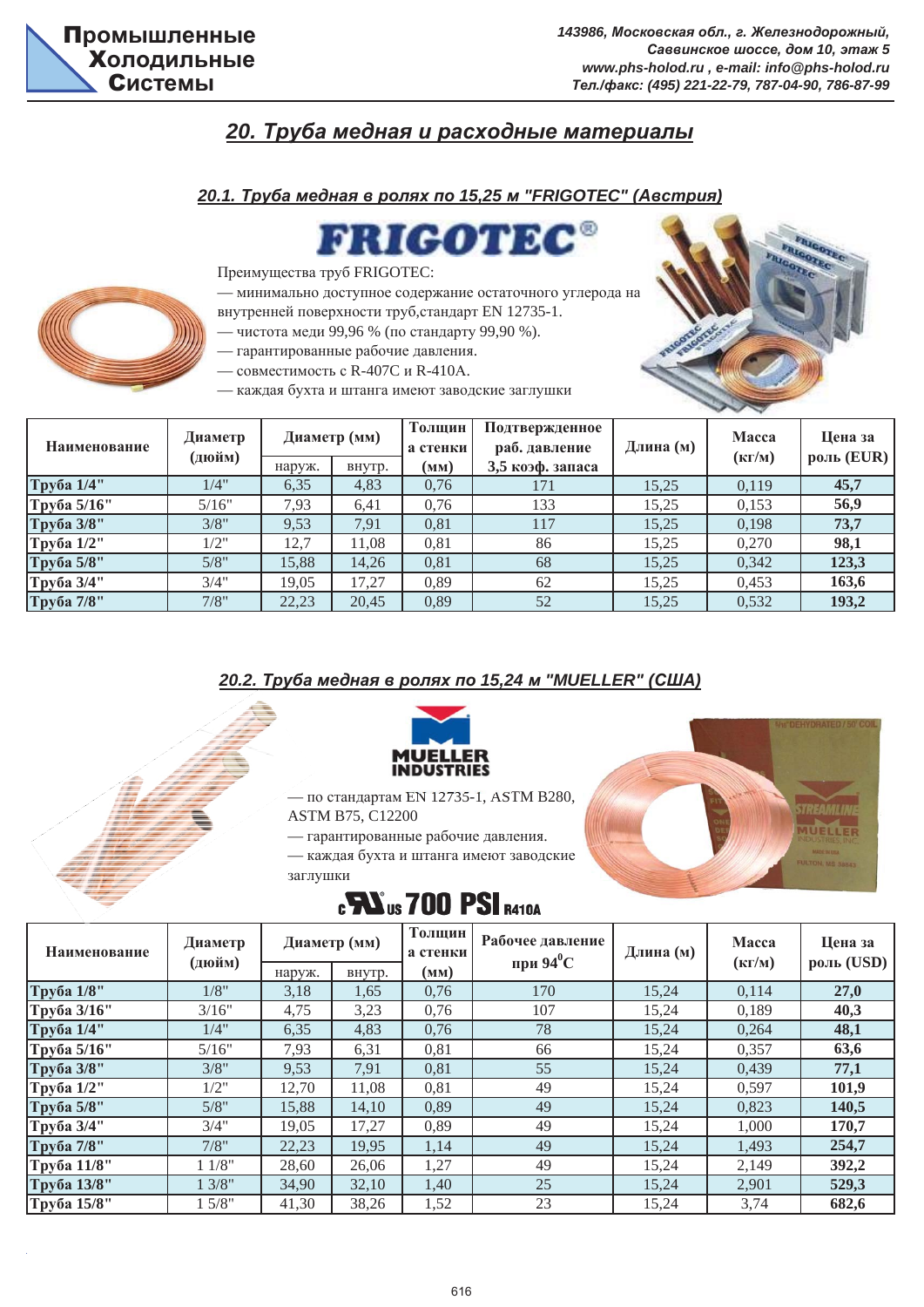### $20.$  *Труба медная и расходные материалы*

#### *20.1. Труба медная в ролях по 15,25 м "FRIGOTEC" (Австрия)*

RIGOTE



Преимущества труб FRIGOTEC:

— минимально доступное содержание остаточного углерода на

внутренней поверхности труб, стандарт EN 12735-1.

- чистота меди 99,96 % (по стандарту 99,90 %).
- гарантированные рабочие давления.
- совместимость с R-407С и R-410А.
- каждая бухта и штанга имеют заводские заглушки

| Наименование | Диаметр<br>(дюйм) |        | Диаметр (мм) | Толщин<br>а стенки | Подтвержденное<br>раб. давление | Длина (м) | <b>Macca</b><br>$(K\Gamma/M)$ | Цена за<br>роль (EUR) |
|--------------|-------------------|--------|--------------|--------------------|---------------------------------|-----------|-------------------------------|-----------------------|
|              |                   | наруж. | внутр.       | (MM)               | 3,5 коэф. запаса                |           |                               |                       |
| Труба 1/4"   | 1/4"              | 6,35   | 4,83         | 0,76               | 171                             | 15,25     | 0.119                         | 45,7                  |
| Труба 5/16"  | 5/16"             | 7.93   | 6,41         | 0.76               | 133                             | 15.25     | 0,153                         | 56,9                  |
| Труба 3/8"   | 3/8"              | 9,53   | 7.91         | 0,81               | 117                             | 15,25     | 0,198                         | 73,7                  |
| Труба 1/2"   | 1/2"              | 12,7   | 1.08         | 0,81               | 86                              | 15,25     | 0,270                         | 98,1                  |
| Труба 5/8"   | 5/8"              | 15.88  | 14,26        | 0,81               | 68                              | 15.25     | 0,342                         | 123,3                 |
| Труба 3/4"   | 3/4"              | 19.05  | 17,27        | 0,89               | 62                              | 15,25     | 0,453                         | 163,6                 |
| Труба 7/8"   | 7/8"              | 22,23  | 20,45        | 0,89               | 52                              | 15,25     | 0,532                         | 193,2                 |

#### $20.2$ . *Труба медная в ролях по 15,24 м "MUELLER" (США)*



— по стандартам EN 12735-1, ASTM B280,

ASTM B75, C12200

- гарантированные рабочие давления.
- каждая бухта и штанга имеют заводские заглушки



## **CHA US 700 PSI R410A**

| Наименование | Диаметр<br>(дюйм) | Диаметр (мм) |        | Толщин<br>а стенки | Рабочее давление<br>при 94 $^0C$ | Длина (м) | Macca<br>$(K\Gamma/M)$ | Цена за<br>роль (USD) |
|--------------|-------------------|--------------|--------|--------------------|----------------------------------|-----------|------------------------|-----------------------|
|              |                   | наруж.       | внутр. | (MM)               |                                  |           |                        |                       |
| Труба 1/8"   | 1/8"              | 3,18         | 1,65   | 0,76               | 170                              | 15,24     | 0,114                  | 27,0                  |
| Труба 3/16"  | 3/16"             | 4,75         | 3,23   | 0,76               | 107                              | 15,24     | 0,189                  | 40,3                  |
| Труба 1/4"   | 1/4"              | 6,35         | 4,83   | 0,76               | 78                               | 15,24     | 0,264                  | 48,1                  |
| Труба 5/16"  | 5/16"             | 7,93         | 6,31   | 0,81               | 66                               | 15,24     | 0,357                  | 63,6                  |
| Труба 3/8"   | 3/8"              | 9,53         | 7,91   | 0,81               | 55                               | 15,24     | 0,439                  | 77,1                  |
| Труба 1/2"   | 1/2"              | 12,70        | 11,08  | 0,81               | 49                               | 15,24     | 0,597                  | 101,9                 |
| Труба 5/8"   | 5/8"              | 15,88        | 14,10  | 0,89               | 49                               | 15,24     | 0,823                  | 140,5                 |
| Труба 3/4"   | 3/4"              | 19,05        | 17,27  | 0,89               | 49                               | 15,24     | 1,000                  | 170,7                 |
| Труба 7/8"   | 7/8"              | 22,23        | 19,95  | 1,14               | 49                               | 15,24     | 1,493                  | 254,7                 |
| Труба 11/8"  | 11/8"             | 28,60        | 26,06  | 1,27               | 49                               | 15,24     | 2,149                  | 392,2                 |
| Труба 13/8"  | 13/8"             | 34,90        | 32,10  | 1,40               | 25                               | 15,24     | 2,901                  | 529,3                 |
| Труба 15/8"  | 15/8"             | 41,30        | 38,26  | 1,52               | 23                               | 15,24     | 3,74                   | 682,6                 |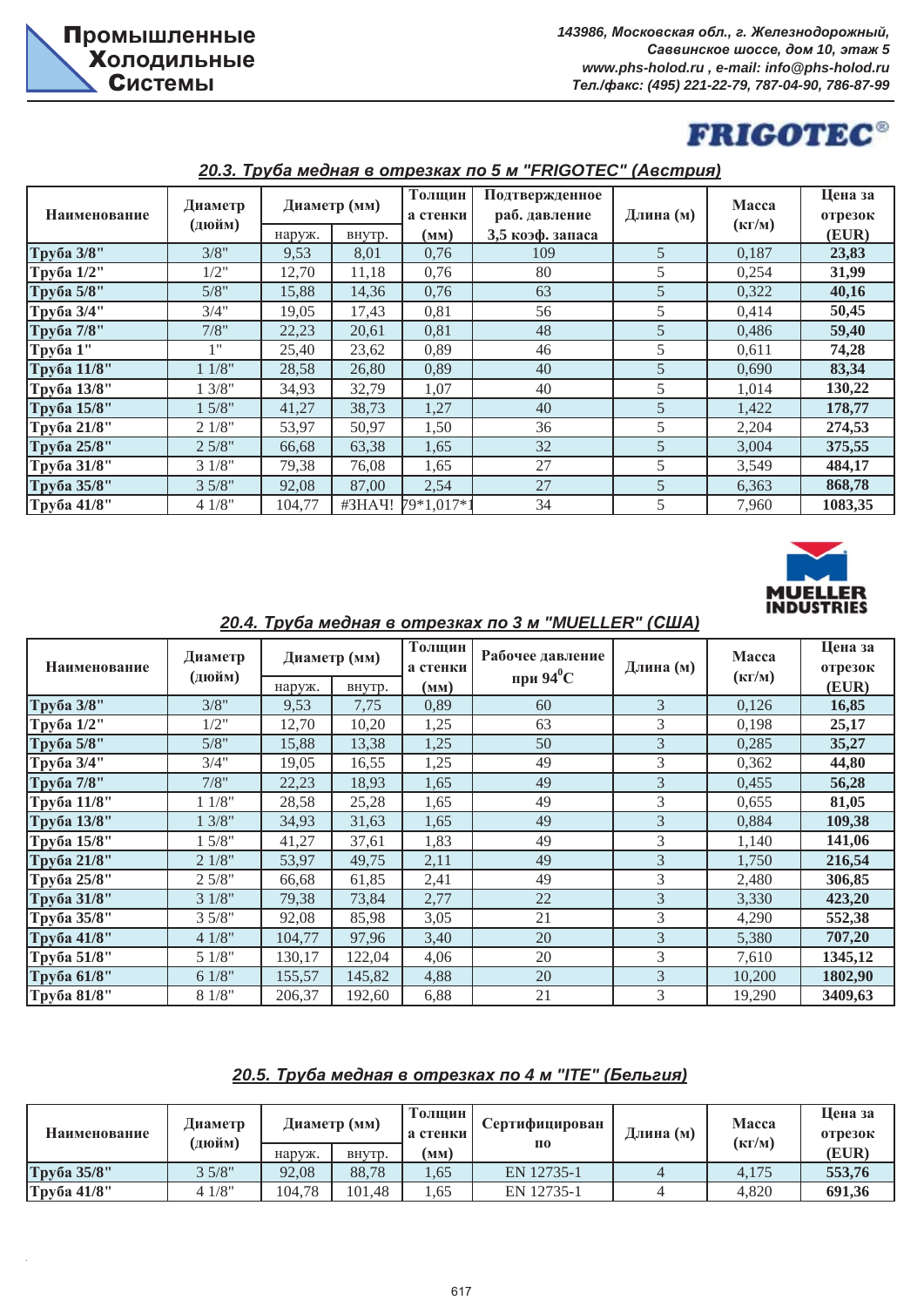# **FRIGOTEC®**

| Наименование | Диаметр<br>(дюйм) |                | Диаметр (мм)   | Толщин<br>а стенки | Подтвержденное<br>раб. давление | Длина (м) | Macca<br>$(K\Gamma/M)$ | Цена за<br>отрезок<br>(EUR) |
|--------------|-------------------|----------------|----------------|--------------------|---------------------------------|-----------|------------------------|-----------------------------|
| Труба 3/8"   | 3/8"              | наруж.<br>9,53 | внутр.<br>8,01 | (MM)<br>0,76       | 3,5 коэф. запаса<br>109         | 5         | 0,187                  | 23,83                       |
| Труба 1/2"   | 1/2"              | 12,70          | 11,18          | 0,76               | 80                              | 5         | 0,254                  | 31,99                       |
| Труба 5/8"   | 5/8"              | 15,88          | 14,36          | 0,76               | 63                              | 5         | 0,322                  | 40,16                       |
| Труба 3/4"   | 3/4"              | 19,05          | 17,43          | 0,81               | 56                              | 5         | 0,414                  | 50,45                       |
| Труба 7/8"   | 7/8"              | 22,23          | 20,61          | 0,81               | 48                              | 5         | 0,486                  | 59,40                       |
| Труба 1"     | 1"                | 25,40          | 23,62          | 0,89               | 46                              | 5         | 0,611                  | 74,28                       |
| Труба 11/8"  | 11/8"             | 28,58          | 26,80          | 0,89               | 40                              | 5         | 0,690                  | 83,34                       |
| Труба 13/8"  | 3/8"              | 34,93          | 32,79          | 1,07               | 40                              | 5         | 1,014                  | 130,22                      |
| Труба 15/8"  | 15/8"             | 41,27          | 38,73          | 1,27               | 40                              | 5         | 1,422                  | 178,77                      |
| Труба 21/8"  | 21/8"             | 53,97          | 50,97          | 1,50               | 36                              | 5         | 2,204                  | 274,53                      |
| Труба 25/8"  | 25/8"             | 66,68          | 63,38          | 1,65               | 32                              | 5         | 3,004                  | 375,55                      |
| Труба 31/8"  | 31/8"             | 79,38          | 76,08          | 1,65               | 27                              | 5         | 3,549                  | 484,17                      |
| Труба 35/8"  | 35/8"             | 92,08          | 87,00          | 2,54               | 27                              | 5         | 6,363                  | 868,78                      |
| Труба 41/8"  | 41/8"             | 104,77         | #3HAY!         | 79*1,017*1         | 34                              | 5         | 7,960                  | 1083,35                     |

#### $20.3$ . *Tруба медная в отрезках по 5 м "FRIGOTEC" (Австрия)*



| 20.4. Труба медная в отрезках по 3 м "MUELLER" (США) |                   |        |                        |                            |                                  |           |                               |                             |  |
|------------------------------------------------------|-------------------|--------|------------------------|----------------------------|----------------------------------|-----------|-------------------------------|-----------------------------|--|
| Наименование                                         | Диаметр<br>(дюйм) | наруж. | Диаметр (мм)<br>внутр. | Толщин<br>а стенки<br>(MM) | Рабочее давление<br>при 94 $^0C$ | Длина (м) | <b>Macca</b><br>$(K\Gamma/M)$ | Цена за<br>отрезок<br>(EUR) |  |
| Труба 3/8"                                           | 3/8"              | 9,53   | 7,75                   | 0,89                       | 60                               | 3         | 0,126                         | 16,85                       |  |
| Труба 1/2"                                           | 1/2"              | 12,70  | 10,20                  | 1,25                       | 63                               | 3         | 0,198                         | 25,17                       |  |
| Труба 5/8"                                           | 5/8"              | 15,88  | 13,38                  | 1,25                       | 50                               | 3         | 0,285                         | 35,27                       |  |
| Труба 3/4"                                           | 3/4"              | 19,05  | 16,55                  | 1,25                       | 49                               | 3         | 0,362                         | 44,80                       |  |
| Труба 7/8"                                           | 7/8"              | 22,23  | 18,93                  | 1,65                       | 49                               | 3         | 0,455                         | 56,28                       |  |
| Труба 11/8"                                          | 11/8"             | 28,58  | 25,28                  | 1,65                       | 49                               | 3         | 0.655                         | 81,05                       |  |
| Труба 13/8"                                          | 13/8"             | 34,93  | 31,63                  | 1,65                       | 49                               | 3         | 0,884                         | 109,38                      |  |
| Труба 15/8"                                          | 15/8"             | 41,27  | 37,61                  | 1,83                       | 49                               | 3         | 1,140                         | 141,06                      |  |
| Труба 21/8"                                          | 21/8"             | 53,97  | 49,75                  | 2,11                       | 49                               | 3         | 1,750                         | 216,54                      |  |
| Труба 25/8"                                          | 25/8"             | 66,68  | 61,85                  | 2,41                       | 49                               | 3         | 2,480                         | 306,85                      |  |
| Труба 31/8"                                          | 31/8"             | 79,38  | 73,84                  | 2,77                       | 22                               | 3         | 3,330                         | 423,20                      |  |
| Труба 35/8"                                          | 35/8"             | 92,08  | 85,98                  | 3,05                       | 21                               | 3         | 4,290                         | 552,38                      |  |
| Труба 41/8"                                          | 41/8"             | 104,77 | 97,96                  | 3,40                       | 20                               | 3         | 5,380                         | 707,20                      |  |
| Труба 51/8"                                          | 51/8"             | 130,17 | 122,04                 | 4,06                       | 20                               | 3         | 7,610                         | 1345,12                     |  |
| Труба 61/8"                                          | 61/8"             | 155,57 | 145,82                 | 4,88                       | 20                               | 3         | 10,200                        | 1802,90                     |  |
| Труба 81/8"                                          | 81/8"             | 206,37 | 192,60                 | 6,88                       | 21                               | 3         | 19,290                        | 3409,63                     |  |

#### *20.4. Ɍɪɭɛɚ ɦɟɞɧɚɹ ɜ ɨɬɪɟɡɤɚɯ ɩɨ 3 ɦ "MUELLER" (ɋɒȺ)*

#### $20.5$ . *Труба медная в отрезках по 4 м "ITE" (Бельгия)*

| Наименование | Диаметр<br><b>дюйм)</b> |        | Диаметр (мм) | Голшин<br>а стенки | Сертифицирован     | Длина (м) | <b>Macca</b><br>$(K\Gamma/M)$ | Шена за<br>отрезок |
|--------------|-------------------------|--------|--------------|--------------------|--------------------|-----------|-------------------------------|--------------------|
|              |                         | наруж. | BHVTD.       | (мм)               | $\Pi$ <sup>0</sup> |           |                               | (EUR)              |
| Труба 35/8"  | 35/8"                   | 92.08  | 88.78        | .65                | EN 12735-1         |           | 4.175                         | 553,76             |
| Труба 41/8"  | 41/8"                   | 104.78 | 101.48       | .65                | EN 12735-1         |           | 4.820                         | 691.36             |